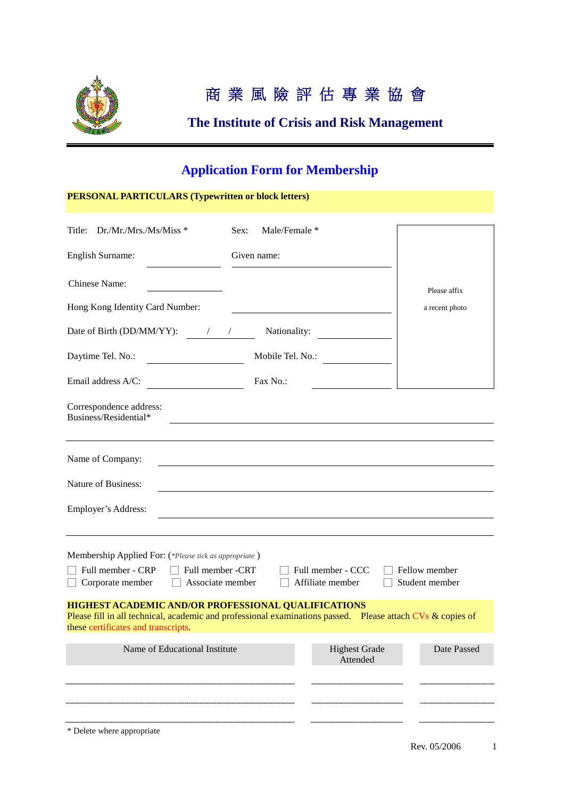

# 商 業 風 險 評 估 專 業 協 會

## **The Institute of Crisis and Risk Management**

## **Application Form for Membership**

## **PERSONAL PARTICULARS (Typewritten or block letters)**

| Dr./Mr./Mrs./Ms/Miss *<br>Title:                                                                                                                                                                                   | Male/Female *<br>Sex: |                                  |                |  |  |
|--------------------------------------------------------------------------------------------------------------------------------------------------------------------------------------------------------------------|-----------------------|----------------------------------|----------------|--|--|
| <b>English Surname:</b>                                                                                                                                                                                            | Given name:           |                                  |                |  |  |
| <b>Chinese Name:</b>                                                                                                                                                                                               |                       |                                  | Please affix   |  |  |
| Hong Kong Identity Card Number:                                                                                                                                                                                    |                       |                                  | a recent photo |  |  |
| Date of Birth (DD/MM/YY): $\frac{1}{2}$                                                                                                                                                                            | Nationality:          |                                  |                |  |  |
| Daytime Tel. No.:                                                                                                                                                                                                  | Mobile Tel. No.:      |                                  |                |  |  |
| Email address A/C:                                                                                                                                                                                                 | Fax No.:              |                                  |                |  |  |
| Correspondence address:<br>Business/Residential*                                                                                                                                                                   |                       |                                  |                |  |  |
|                                                                                                                                                                                                                    |                       |                                  |                |  |  |
| Name of Company:                                                                                                                                                                                                   |                       |                                  |                |  |  |
| <b>Nature of Business:</b>                                                                                                                                                                                         |                       |                                  |                |  |  |
| Employer's Address:                                                                                                                                                                                                |                       |                                  |                |  |  |
|                                                                                                                                                                                                                    |                       |                                  |                |  |  |
| Membership Applied For: (*Please tick as appropriate)<br>Full member - CRP<br>Full member -CRT<br>Full member - CCC<br>Fellow member<br>Associate member<br>Affiliate member<br>Student member<br>Corporate member |                       |                                  |                |  |  |
| <b>HIGHEST ACADEMIC AND/OR PROFESSIONAL QUALIFICATIONS</b><br>Please fill in all technical, academic and professional examinations passed. Please attach CVs & copies of<br>these certificates and transcripts.    |                       |                                  |                |  |  |
| Name of Educational Institute                                                                                                                                                                                      |                       | <b>Highest Grade</b><br>Attended | Date Passed    |  |  |
|                                                                                                                                                                                                                    |                       |                                  |                |  |  |
|                                                                                                                                                                                                                    |                       |                                  |                |  |  |
| * Delete where appropriate                                                                                                                                                                                         |                       |                                  |                |  |  |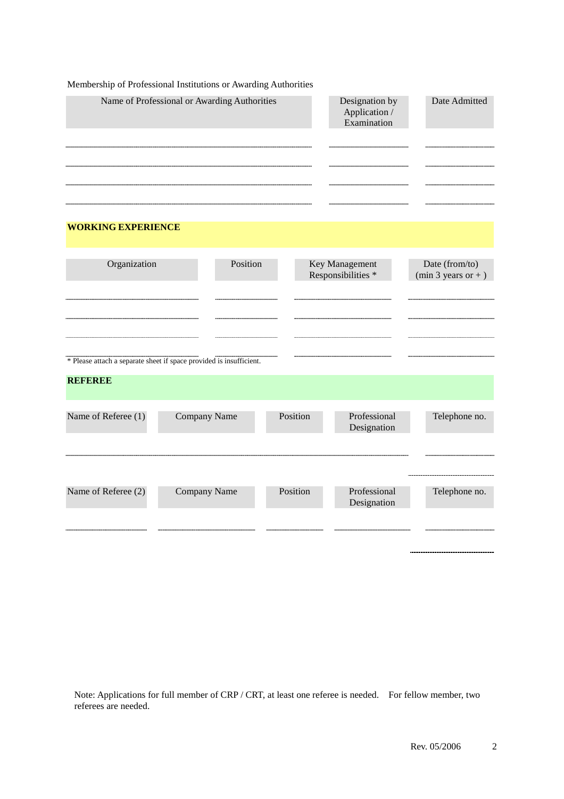|                           | Membership of Professional Institutions or Awarding Authorities     |          |                                                |                                        |
|---------------------------|---------------------------------------------------------------------|----------|------------------------------------------------|----------------------------------------|
|                           | Name of Professional or Awarding Authorities                        |          | Designation by<br>Application /<br>Examination | Date Admitted                          |
| <b>WORKING EXPERIENCE</b> |                                                                     |          |                                                |                                        |
| Organization              | Position                                                            |          | Key Management<br>Responsibilities *           | Date (from/to)<br>$(min 3 years or +)$ |
|                           | * Please attach a separate sheet if space provided is insufficient. |          |                                                |                                        |
| <b>REFEREE</b>            |                                                                     |          |                                                |                                        |
| Name of Referee (1)       | Company Name                                                        | Position | Professional<br>Designation                    | Telephone no.                          |
| Name of Referee (2)       | Company Name                                                        | Position | Professional<br>Designation                    | ________________<br>Telephone no.      |
|                           |                                                                     |          |                                                | ----------------                       |

Note: Applications for full member of CRP / CRT, at least one referee is needed. For fellow member, two referees are needed.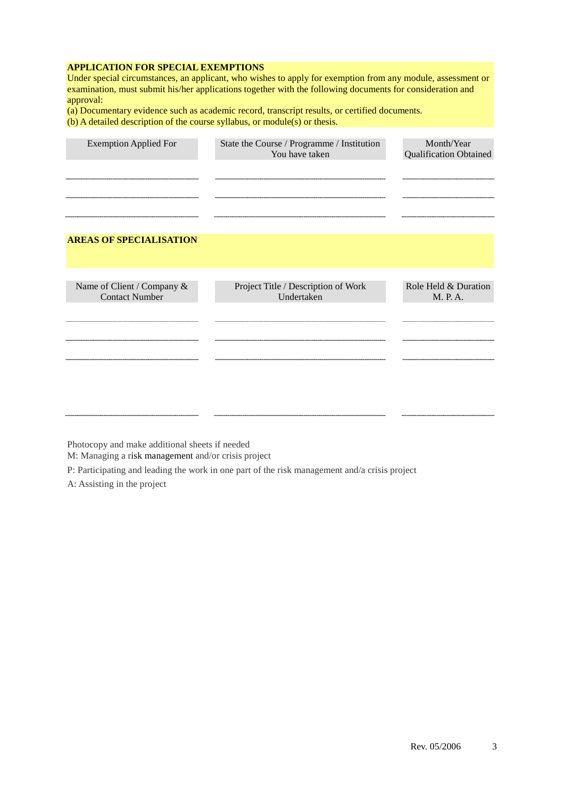#### **APPLICATION FOR SPECIAL EXEMPTIONS**

Under special circumstances, an applicant, who wishes to apply for exemption from any module, assessment or examination, must submit his/her applications together with the following documents for consideration and approval:

(a) Documentary evidence such as academic record, transcript results, or certified documents.

(b) A detailed description of the course syllabus, or module(s) or thesis.

| <b>Exemption Applied For</b>                        | State the Course / Programme / Institution<br>You have taken | Month/Year<br><b>Qualification Obtained</b> |
|-----------------------------------------------------|--------------------------------------------------------------|---------------------------------------------|
|                                                     |                                                              |                                             |
|                                                     |                                                              |                                             |
| <b>AREAS OF SPECIALISATION</b>                      |                                                              |                                             |
|                                                     |                                                              |                                             |
| Name of Client / Company &<br><b>Contact Number</b> | Project Title / Description of Work<br>Undertaken            | Role Held & Duration<br>M. P. A.            |
|                                                     |                                                              |                                             |
|                                                     |                                                              |                                             |
|                                                     |                                                              |                                             |
|                                                     |                                                              |                                             |

Photocopy and make additional sheets if needed

M: Managing a risk management and/or crisis project

P: Participating and leading the work in one part of the risk management and/a crisis project

A: Assisting in the project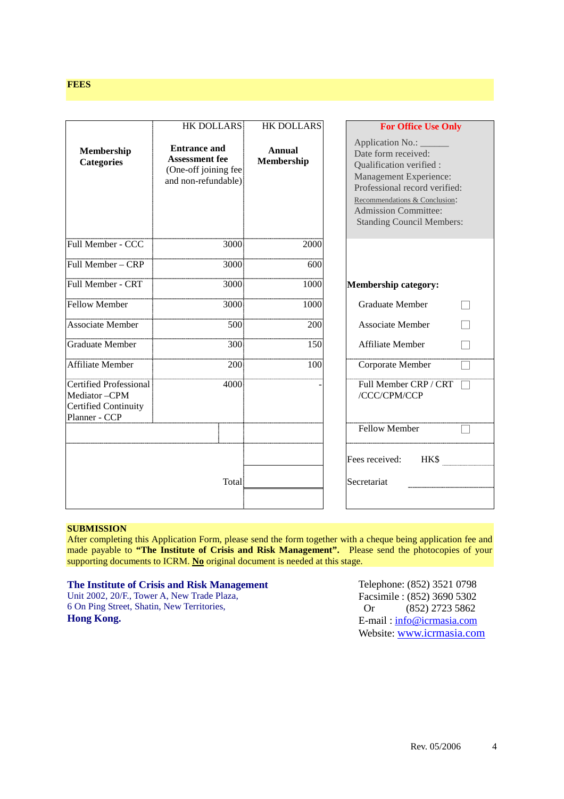## **FEES**

|                                                                                               | <b>HK DOLLARS</b>                                                                           | <b>HK DOLLARS</b>    | <b>For Office Use Only</b>                                                                                                                                                                                                         |
|-----------------------------------------------------------------------------------------------|---------------------------------------------------------------------------------------------|----------------------|------------------------------------------------------------------------------------------------------------------------------------------------------------------------------------------------------------------------------------|
| Membership<br><b>Categories</b>                                                               | <b>Entrance and</b><br><b>Assessment fee</b><br>(One-off joining fee<br>and non-refundable) | Annual<br>Membership | Application No.:<br>Date form received:<br>Qualification verified :<br>Management Experience:<br>Professional record verified:<br>Recommendations & Conclusion:<br><b>Admission Committee:</b><br><b>Standing Council Members:</b> |
| Full Member - CCC                                                                             | 3000                                                                                        | 2000                 |                                                                                                                                                                                                                                    |
| Full Member - CRP                                                                             | 3000                                                                                        | 600                  |                                                                                                                                                                                                                                    |
| <b>Full Member - CRT</b>                                                                      | 3000                                                                                        | 1000                 | <b>Membership category:</b>                                                                                                                                                                                                        |
| <b>Fellow Member</b>                                                                          | 3000                                                                                        | 1000                 | <b>Graduate Member</b>                                                                                                                                                                                                             |
| <b>Associate Member</b>                                                                       | 500                                                                                         | 200                  | <b>Associate Member</b>                                                                                                                                                                                                            |
| <b>Graduate Member</b>                                                                        | 300                                                                                         | 150                  | Affiliate Member                                                                                                                                                                                                                   |
| Affiliate Member                                                                              | 200                                                                                         | 100                  | Corporate Member                                                                                                                                                                                                                   |
| <b>Certified Professional</b><br>Mediator-CPM<br><b>Certified Continuity</b><br>Planner - CCP | 4000                                                                                        |                      | Full Member CRP / CRT<br>/CCC/CPM/CCP                                                                                                                                                                                              |
|                                                                                               |                                                                                             |                      | <b>Fellow Member</b>                                                                                                                                                                                                               |
|                                                                                               | Total                                                                                       |                      | Fees received:<br><b>HKS</b><br>Secretariat                                                                                                                                                                                        |
|                                                                                               |                                                                                             |                      |                                                                                                                                                                                                                                    |

## **SUBMISSION**

After completing this Application Form, please send the form together with a cheque being application fee and made payable to "The Institute of Crisis and Risk Management". Please send the photocopies of your supporting documents to ICRM. **No** original document is needed at this stage.

#### **The Institute of Crisis and Risk Management**

Unit 2002, 20/F., Tower A, New Trade Plaza, 6 On Ping Street, Shatin, New Territories, **Hong Kong.**

Telephone: (852) 3521 0798 Facsimile : (852) 3690 5302 Or (852) 2723 5862 E-mail : info@icrmasia.com Website: www.icrmasia.com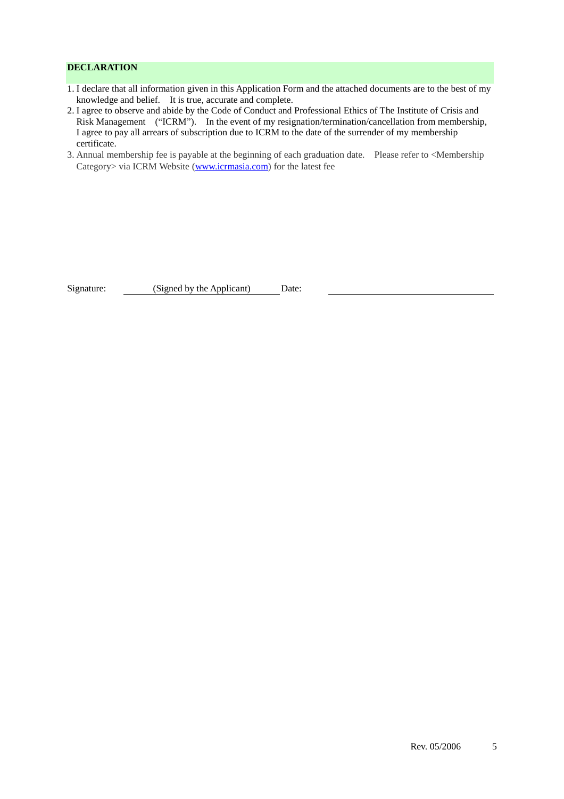## **DECLARATION**

- 1. I declare that all information given in this Application Form and the attached documents are to the best of my knowledge and belief. It is true, accurate and complete.
- 2. I agree to observe and abide by the Code of Conduct and Professional Ethics of The Institute of Crisis and Risk Management ("ICRM"). In the event of my resignation/termination/cancellation from membership, I agree to pay all arrears of subscription due to ICRM to the date of the surrender of my membership certificate.
- 3. Annual membership fee is payable at the beginning of each graduation date. Please refer to <Membership Category> via ICRM Website (www.icrmasia.com) for the latest fee

Signature: (Signed by the Applicant) Date: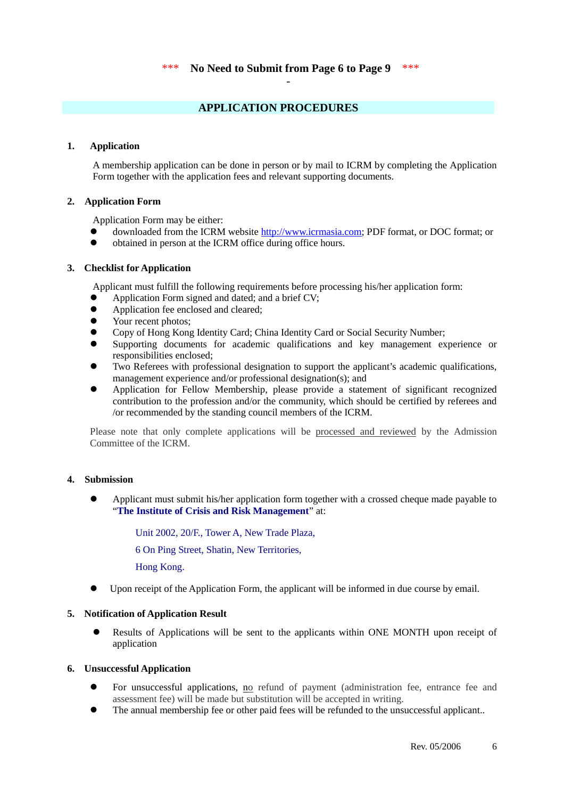## **APPLICATION PROCEDURES**

#### **1. Application**

A membership application can be done in person or by mail to ICRM by completing the Application Form together with the application fees and relevant supporting documents.

#### **2. Application Form**

Application Form may be either:

- downloaded from the ICRM website http://www.icrmasia.com; PDF format, or DOC format; or
- obtained in person at the ICRM office during office hours.

#### **3. Checklist for Application**

Applicant must fulfill the following requirements before processing his/her application form:

- Application Form signed and dated; and a brief CV;
- Application fee enclosed and cleared;
- Your recent photos;
- Copy of Hong Kong Identity Card; China Identity Card or Social Security Number;
- Supporting documents for academic qualifications and key management experience or responsibilities enclosed;
- Two Referees with professional designation to support the applicant's academic qualifications, management experience and/or professional designation(s); and
- Application for Fellow Membership, please provide a statement of significant recognized contribution to the profession and/or the community, which should be certified by referees and /or recommended by the standing council members of the ICRM.

Please note that only complete applications will be processed and reviewed by the Admission Committee of the ICRM.

## **4. Submission**

 Applicant must submit his/her application form together with a crossed cheque made payable to "**The Institute of Crisis and Risk Management**" at:

Unit 2002, 20/F., Tower A, New Trade Plaza,

6 On Ping Street, Shatin, New Territories,

Hong Kong.

Upon receipt of the Application Form, the applicant will be informed in due course by email.

## **5. Notification of Application Result**

 Results of Applications will be sent to the applicants within ONE MONTH upon receipt of application

#### **6. Unsuccessful Application**

- For unsuccessful applications, no refund of payment (administration fee, entrance fee and assessment fee) will be made but substitution will be accepted in writing.
- The annual membership fee or other paid fees will be refunded to the unsuccessful applicant..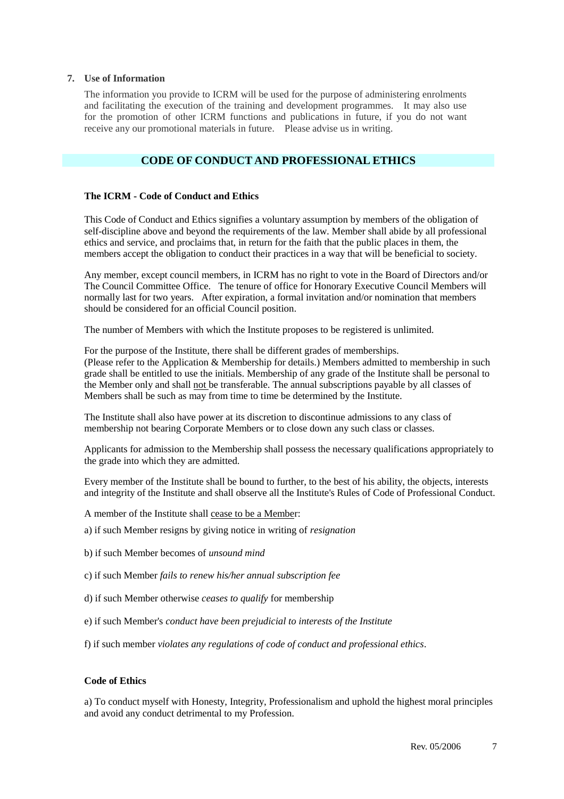#### **7. Use of Information**

The information you provide to ICRM will be used for the purpose of administering enrolments and facilitating the execution of the training and development programmes. It may also use for the promotion of other ICRM functions and publications in future, if you do not want receive any our promotional materials in future. Please advise us in writing.

## **CODE OF CONDUCT AND PROFESSIONAL ETHICS**

#### **The ICRM - Code of Conduct and Ethics**

This Code of Conduct and Ethics signifies a voluntary assumption by members of the obligation of self-discipline above and beyond the requirements of the law. Member shall abide by all professional ethics and service, and proclaims that, in return for the faith that the public places in them, the members accept the obligation to conduct their practices in a way that will be beneficial to society.

Any member, except council members, in ICRM has no right to vote in the Board of Directors and/or The Council Committee Office. The tenure of office for Honorary Executive Council Members will normally last for two years. After expiration, a formal invitation and/or nomination that members should be considered for an official Council position.

The number of Members with which the Institute proposes to be registered is unlimited.

For the purpose of the Institute, there shall be different grades of memberships. (Please refer to the Application & Membership for details.) Members admitted to membership in such grade shall be entitled to use the initials. Membership of any grade of the Institute shall be personal to the Member only and shall not be transferable. The annual subscriptions payable by all classes of Members shall be such as may from time to time be determined by the Institute.

The Institute shall also have power at its discretion to discontinue admissions to any class of membership not bearing Corporate Members or to close down any such class or classes.

Applicants for admission to the Membership shall possess the necessary qualifications appropriately to the grade into which they are admitted.

Every member of the Institute shall be bound to further, to the best of his ability, the objects, interests and integrity of the Institute and shall observe all the Institute's Rules of Code of Professional Conduct.

- A member of the Institute shall cease to be a Member:
- a) if such Member resigns by giving notice in writing of *resignation*
- b) if such Member becomes of *unsound mind*
- c) if such Member *fails to renew his/her annual subscription fee*
- d) if such Member otherwise *ceases to qualify* for membership
- e) if such Member's *conduct have been prejudicial to interests of the Institute*
- f) if such member *violates any regulations of code of conduct and professional ethics*.

## **Code of Ethics**

a) To conduct myself with Honesty, Integrity, Professionalism and uphold the highest moral principles and avoid any conduct detrimental to my Profession.